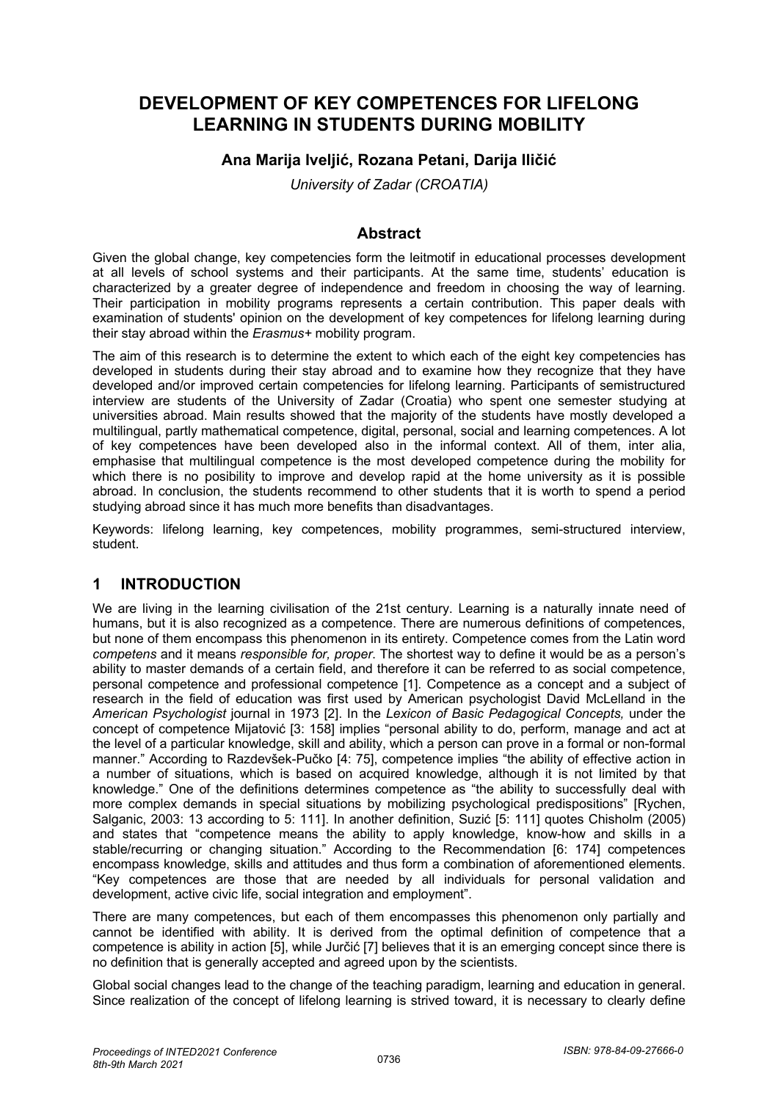# **DEVELOPMENT OF KEY COMPETENCES FOR LIFELONG LEARNING IN STUDENTS DURING MOBILITY**

## **Ana Marija Iveljić, Rozana Petani, Darija Iličić**

*University of Zadar (CROATIA)*

#### **Abstract**

Given the global change, key competencies form the leitmotif in educational processes development at all levels of school systems and their participants. At the same time, students' education is characterized by a greater degree of independence and freedom in choosing the way of learning. Their participation in mobility programs represents a certain contribution. This paper deals with examination of students' opinion on the development of key competences for lifelong learning during their stay abroad within the *Erasmus+* mobility program.

The aim of this research is to determine the extent to which each of the eight key competencies has developed in students during their stay abroad and to examine how they recognize that they have developed and/or improved certain competencies for lifelong learning. Participants of semistructured interview are students of the University of Zadar (Croatia) who spent one semester studying at universities abroad. Main results showed that the majority of the students have mostly developed a multilingual, partly mathematical competence, digital, personal, social and learning competences. A lot of key competences have been developed also in the informal context. All of them, inter alia, emphasise that multilingual competence is the most developed competence during the mobility for which there is no posibility to improve and develop rapid at the home university as it is possible abroad. In conclusion, the students recommend to other students that it is worth to spend a period studying abroad since it has much more benefits than disadvantages.

Keywords: lifelong learning, key competences, mobility programmes, semi-structured interview, student.

## **1 INTRODUCTION**

We are living in the learning civilisation of the 21st century. Learning is a naturally innate need of humans, but it is also recognized as a competence. There are numerous definitions of competences, but none of them encompass this phenomenon in its entirety. Competence comes from the Latin word *competens* and it means *responsible for, proper*. The shortest way to define it would be as a person's ability to master demands of a certain field, and therefore it can be referred to as social competence, personal competence and professional competence [1]. Competence as a concept and a subject of research in the field of education was first used by American psychologist David McLelland in the *American Psychologist* journal in 1973 [2]. In the *Lexicon of Basic Pedagogical Concepts,* under the concept of competence Mijatović [3: 158] implies "personal ability to do, perform, manage and act at the level of a particular knowledge, skill and ability, which a person can prove in a formal or non-formal manner." According to Razdevšek-Pučko [4: 75], competence implies "the ability of effective action in a number of situations, which is based on acquired knowledge, although it is not limited by that knowledge." One of the definitions determines competence as "the ability to successfully deal with more complex demands in special situations by mobilizing psychological predispositions" [Rychen, Salganic, 2003: 13 according to 5: 111]. In another definition, Suzić [5: 111] quotes Chisholm (2005) and states that "competence means the ability to apply knowledge, know-how and skills in a stable/recurring or changing situation." According to the Recommendation [6: 174] competences encompass knowledge, skills and attitudes and thus form a combination of aforementioned elements. "Key competences are those that are needed by all individuals for personal validation and development, active civic life, social integration and employment".

There are many competences, but each of them encompasses this phenomenon only partially and cannot be identified with ability. It is derived from the optimal definition of competence that a competence is ability in action [5], while Jurčić [7] believes that it is an emerging concept since there is no definition that is generally accepted and agreed upon by the scientists.

Global social changes lead to the change of the teaching paradigm, learning and education in general. Since realization of the concept of lifelong learning is strived toward, it is necessary to clearly define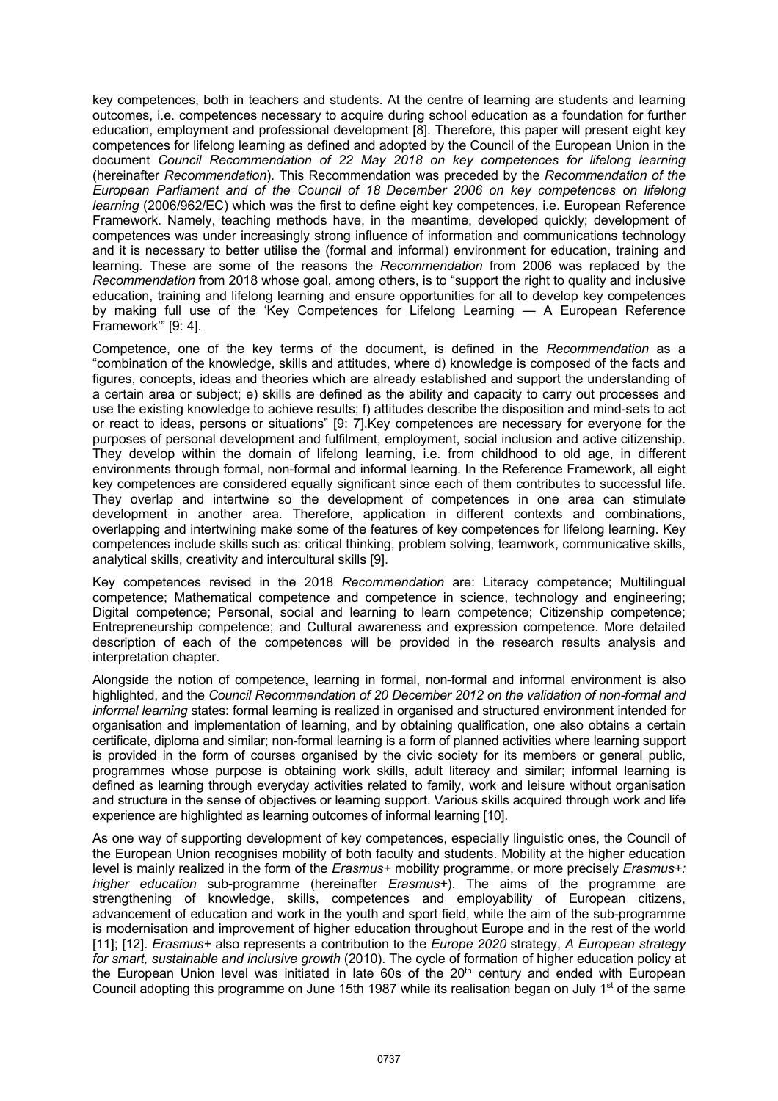key competences, both in teachers and students. At the centre of learning are students and learning outcomes, i.e. competences necessary to acquire during school education as a foundation for further education, employment and professional development [8]. Therefore, this paper will present eight key competences for lifelong learning as defined and adopted by the Council of the European Union in the document *Council Recommendation of 22 May 2018 on key competences for lifelong learning* (hereinafter *Recommendation*). This Recommendation was preceded by the *Recommendation of the European Parliament and of the Council of 18 December 2006 on key competences on lifelong learning* (2006/962/EC) which was the first to define eight key competences, i.e. European Reference Framework. Namely, teaching methods have, in the meantime, developed quickly; development of competences was under increasingly strong influence of information and communications technology and it is necessary to better utilise the (formal and informal) environment for education, training and learning. These are some of the reasons the *Recommendation* from 2006 was replaced by the *Recommendation* from 2018 whose goal, among others, is to "support the right to quality and inclusive education, training and lifelong learning and ensure opportunities for all to develop key competences by making full use of the 'Key Competences for Lifelong Learning — A European Reference Framework'" [9: 4].

Competence, one of the key terms of the document, is defined in the *Recommendation* as a "combination of the knowledge, skills and attitudes, where d) knowledge is composed of the facts and figures, concepts, ideas and theories which are already established and support the understanding of a certain area or subject; e) skills are defined as the ability and capacity to carry out processes and use the existing knowledge to achieve results; f) attitudes describe the disposition and mind-sets to act or react to ideas, persons or situations" [9: 7].Key competences are necessary for everyone for the purposes of personal development and fulfilment, employment, social inclusion and active citizenship. They develop within the domain of lifelong learning, i.e. from childhood to old age, in different environments through formal, non-formal and informal learning. In the Reference Framework, all eight key competences are considered equally significant since each of them contributes to successful life. They overlap and intertwine so the development of competences in one area can stimulate development in another area. Therefore, application in different contexts and combinations, overlapping and intertwining make some of the features of key competences for lifelong learning. Key competences include skills such as: critical thinking, problem solving, teamwork, communicative skills, analytical skills, creativity and intercultural skills [9].

Key competences revised in the 2018 *Recommendation* are: Literacy competence; Multilingual competence; Mathematical competence and competence in science, technology and engineering; Digital competence; Personal, social and learning to learn competence; Citizenship competence; Entrepreneurship competence; and Cultural awareness and expression competence. More detailed description of each of the competences will be provided in the research results analysis and interpretation chapter.

Alongside the notion of competence, learning in formal, non-formal and informal environment is also highlighted, and the *Council Recommendation of 20 December 2012 on the validation of non-formal and informal learning* states: formal learning is realized in organised and structured environment intended for organisation and implementation of learning, and by obtaining qualification, one also obtains a certain certificate, diploma and similar; non-formal learning is a form of planned activities where learning support is provided in the form of courses organised by the civic society for its members or general public, programmes whose purpose is obtaining work skills, adult literacy and similar; informal learning is defined as learning through everyday activities related to family, work and leisure without organisation and structure in the sense of objectives or learning support. Various skills acquired through work and life experience are highlighted as learning outcomes of informal learning [10].

As one way of supporting development of key competences, especially linguistic ones, the Council of the European Union recognises mobility of both faculty and students. Mobility at the higher education level is mainly realized in the form of the *Erasmus+* mobility programme, or more precisely *Erasmus+: higher education* sub-programme (hereinafter *Erasmus+*). The aims of the programme are strengthening of knowledge, skills, competences and employability of European citizens, advancement of education and work in the youth and sport field, while the aim of the sub-programme is modernisation and improvement of higher education throughout Europe and in the rest of the world [11]; [12]. *Erasmus+* also represents a contribution to the *Europe 2020* strategy, *A European strategy for smart, sustainable and inclusive growth* (2010). The cycle of formation of higher education policy at the European Union level was initiated in late 60s of the 20<sup>th</sup> century and ended with European Council adopting this programme on June 15th 1987 while its realisation began on July 1<sup>st</sup> of the same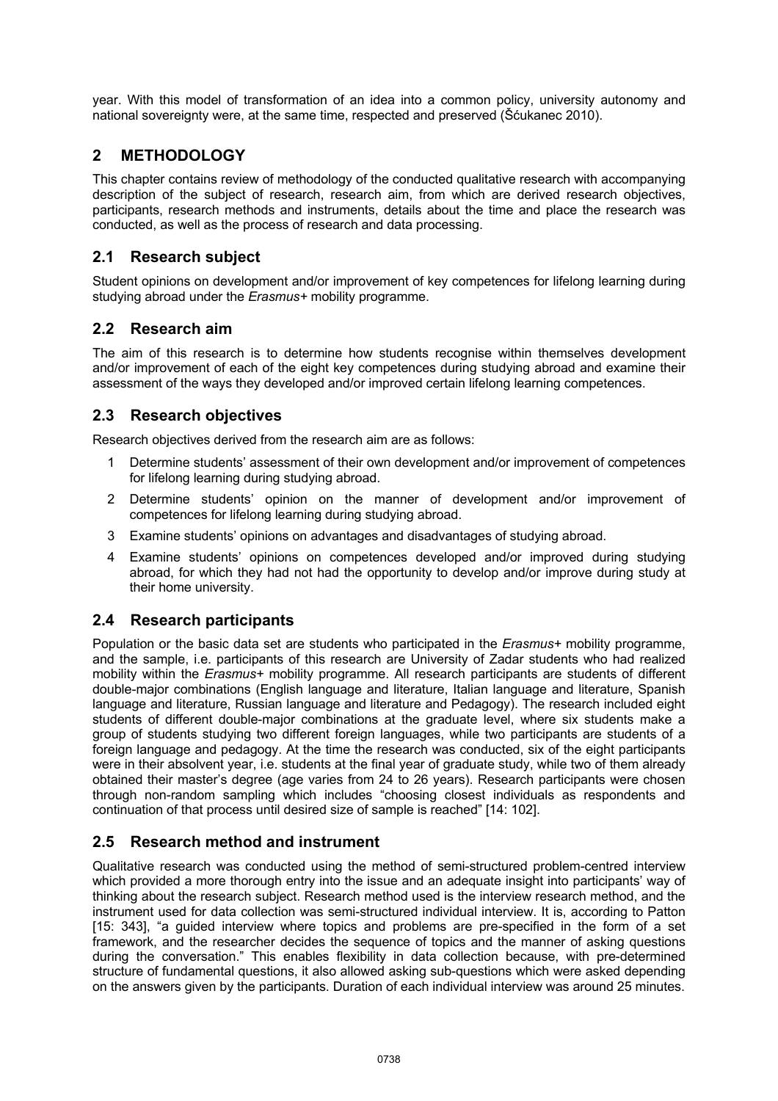year. With this model of transformation of an idea into a common policy, university autonomy and national sovereignty were, at the same time, respected and preserved (Šćukanec 2010).

## **2 METHODOLOGY**

This chapter contains review of methodology of the conducted qualitative research with accompanying description of the subject of research, research aim, from which are derived research objectives, participants, research methods and instruments, details about the time and place the research was conducted, as well as the process of research and data processing.

## **2.1 Research subject**

Student opinions on development and/or improvement of key competences for lifelong learning during studying abroad under the *Erasmus+* mobility programme.

#### **2.2 Research aim**

The aim of this research is to determine how students recognise within themselves development and/or improvement of each of the eight key competences during studying abroad and examine their assessment of the ways they developed and/or improved certain lifelong learning competences.

#### **2.3 Research objectives**

Research objectives derived from the research aim are as follows:

- Determine students' assessment of their own development and/or improvement of competences for lifelong learning during studying abroad.
- 2 Determine students' opinion on the manner of development and/or improvement of competences for lifelong learning during studying abroad.
- 3 Examine students' opinions on advantages and disadvantages of studying abroad.
- 4 Examine students' opinions on competences developed and/or improved during studying abroad, for which they had not had the opportunity to develop and/or improve during study at their home university.

#### **2.4 Research participants**

Population or the basic data set are students who participated in the *Erasmus+* mobility programme, and the sample, i.e. participants of this research are University of Zadar students who had realized mobility within the *Erasmus+* mobility programme. All research participants are students of different double-major combinations (English language and literature, Italian language and literature, Spanish language and literature, Russian language and literature and Pedagogy). The research included eight students of different double-major combinations at the graduate level, where six students make a group of students studying two different foreign languages, while two participants are students of a foreign language and pedagogy. At the time the research was conducted, six of the eight participants were in their absolvent year, i.e. students at the final year of graduate study, while two of them already obtained their master's degree (age varies from 24 to 26 years). Research participants were chosen through non-random sampling which includes "choosing closest individuals as respondents and continuation of that process until desired size of sample is reached" [14: 102].

## **2.5 Research method and instrument**

Qualitative research was conducted using the method of semi-structured problem-centred interview which provided a more thorough entry into the issue and an adequate insight into participants' way of thinking about the research subject. Research method used is the interview research method, and the instrument used for data collection was semi-structured individual interview. It is, according to Patton [15: 343], "a guided interview where topics and problems are pre-specified in the form of a set framework, and the researcher decides the sequence of topics and the manner of asking questions during the conversation." This enables flexibility in data collection because, with pre-determined structure of fundamental questions, it also allowed asking sub-questions which were asked depending on the answers given by the participants. Duration of each individual interview was around 25 minutes.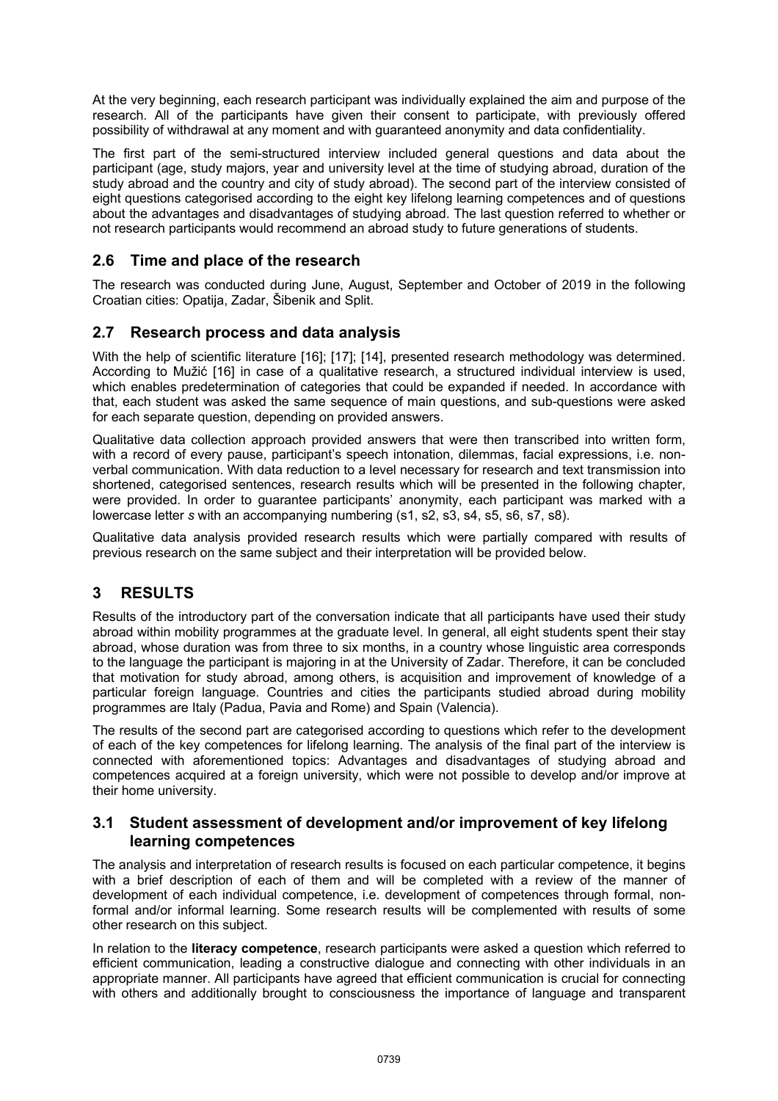At the very beginning, each research participant was individually explained the aim and purpose of the research. All of the participants have given their consent to participate, with previously offered possibility of withdrawal at any moment and with guaranteed anonymity and data confidentiality.

The first part of the semi-structured interview included general questions and data about the participant (age, study majors, year and university level at the time of studying abroad, duration of the study abroad and the country and city of study abroad). The second part of the interview consisted of eight questions categorised according to the eight key lifelong learning competences and of questions about the advantages and disadvantages of studying abroad. The last question referred to whether or not research participants would recommend an abroad study to future generations of students.

## **2.6 Time and place of the research**

The research was conducted during June, August, September and October of 2019 in the following Croatian cities: Opatija, Zadar, Šibenik and Split.

## **2.7 Research process and data analysis**

With the help of scientific literature [16]; [17]; [14], presented research methodology was determined. According to Mužić [16] in case of a qualitative research, a structured individual interview is used, which enables predetermination of categories that could be expanded if needed. In accordance with that, each student was asked the same sequence of main questions, and sub-questions were asked for each separate question, depending on provided answers.

Qualitative data collection approach provided answers that were then transcribed into written form, with a record of every pause, participant's speech intonation, dilemmas, facial expressions, i.e. nonverbal communication. With data reduction to a level necessary for research and text transmission into shortened, categorised sentences, research results which will be presented in the following chapter, were provided. In order to guarantee participants' anonymity, each participant was marked with a lowercase letter *s* with an accompanying numbering (s1, s2, s3, s4, s5, s6, s7, s8).

Qualitative data analysis provided research results which were partially compared with results of previous research on the same subject and their interpretation will be provided below.

## **3 RESULTS**

Results of the introductory part of the conversation indicate that all participants have used their study abroad within mobility programmes at the graduate level. In general, all eight students spent their stay abroad, whose duration was from three to six months, in a country whose linguistic area corresponds to the language the participant is majoring in at the University of Zadar. Therefore, it can be concluded that motivation for study abroad, among others, is acquisition and improvement of knowledge of a particular foreign language. Countries and cities the participants studied abroad during mobility programmes are Italy (Padua, Pavia and Rome) and Spain (Valencia).

The results of the second part are categorised according to questions which refer to the development of each of the key competences for lifelong learning. The analysis of the final part of the interview is connected with aforementioned topics: Advantages and disadvantages of studying abroad and competences acquired at a foreign university, which were not possible to develop and/or improve at their home university.

#### **3.1 Student assessment of development and/or improvement of key lifelong learning competences**

The analysis and interpretation of research results is focused on each particular competence, it begins with a brief description of each of them and will be completed with a review of the manner of development of each individual competence, i.e. development of competences through formal, nonformal and/or informal learning. Some research results will be complemented with results of some other research on this subject.

In relation to the **literacy competence**, research participants were asked a question which referred to efficient communication, leading a constructive dialogue and connecting with other individuals in an appropriate manner. All participants have agreed that efficient communication is crucial for connecting with others and additionally brought to consciousness the importance of language and transparent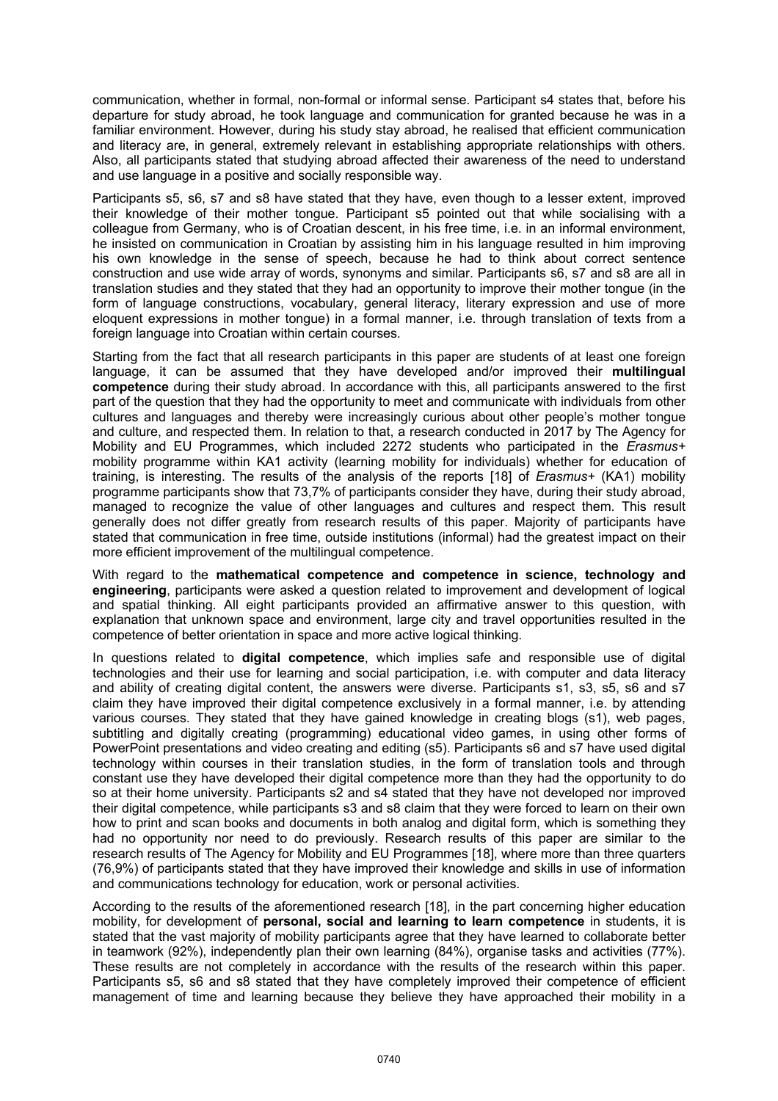communication, whether in formal, non-formal or informal sense. Participant s4 states that, before his departure for study abroad, he took language and communication for granted because he was in a familiar environment. However, during his study stay abroad, he realised that efficient communication and literacy are, in general, extremely relevant in establishing appropriate relationships with others. Also, all participants stated that studying abroad affected their awareness of the need to understand and use language in a positive and socially responsible way.

Participants s5, s6, s7 and s8 have stated that they have, even though to a lesser extent, improved their knowledge of their mother tongue. Participant s5 pointed out that while socialising with a colleague from Germany, who is of Croatian descent, in his free time, i.e. in an informal environment, he insisted on communication in Croatian by assisting him in his language resulted in him improving his own knowledge in the sense of speech, because he had to think about correct sentence construction and use wide array of words, synonyms and similar. Participants s6, s7 and s8 are all in translation studies and they stated that they had an opportunity to improve their mother tongue (in the form of language constructions, vocabulary, general literacy, literary expression and use of more eloquent expressions in mother tongue) in a formal manner, i.e. through translation of texts from a foreign language into Croatian within certain courses.

Starting from the fact that all research participants in this paper are students of at least one foreign language, it can be assumed that they have developed and/or improved their **multilingual competence** during their study abroad. In accordance with this, all participants answered to the first part of the question that they had the opportunity to meet and communicate with individuals from other cultures and languages and thereby were increasingly curious about other people's mother tongue and culture, and respected them. In relation to that, a research conducted in 2017 by The Agency for Mobility and EU Programmes, which included 2272 students who participated in the *Erasmus+* mobility programme within KA1 activity (learning mobility for individuals) whether for education of training, is interesting. The results of the analysis of the reports [18] of *Erasmus+* (KA1) mobility programme participants show that 73,7% of participants consider they have, during their study abroad, managed to recognize the value of other languages and cultures and respect them. This result generally does not differ greatly from research results of this paper. Majority of participants have stated that communication in free time, outside institutions (informal) had the greatest impact on their more efficient improvement of the multilingual competence.

With regard to the **mathematical competence and competence in science, technology and engineering**, participants were asked a question related to improvement and development of logical and spatial thinking. All eight participants provided an affirmative answer to this question, with explanation that unknown space and environment, large city and travel opportunities resulted in the competence of better orientation in space and more active logical thinking.

In questions related to **digital competence**, which implies safe and responsible use of digital technologies and their use for learning and social participation, i.e. with computer and data literacy and ability of creating digital content, the answers were diverse. Participants s1, s3, s5, s6 and s7 claim they have improved their digital competence exclusively in a formal manner, i.e. by attending various courses. They stated that they have gained knowledge in creating blogs (s1), web pages, subtitling and digitally creating (programming) educational video games, in using other forms of PowerPoint presentations and video creating and editing (s5). Participants s6 and s7 have used digital technology within courses in their translation studies, in the form of translation tools and through constant use they have developed their digital competence more than they had the opportunity to do so at their home university. Participants s2 and s4 stated that they have not developed nor improved their digital competence, while participants s3 and s8 claim that they were forced to learn on their own how to print and scan books and documents in both analog and digital form, which is something they had no opportunity nor need to do previously. Research results of this paper are similar to the research results of The Agency for Mobility and EU Programmes [18], where more than three quarters (76,9%) of participants stated that they have improved their knowledge and skills in use of information and communications technology for education, work or personal activities.

According to the results of the aforementioned research [18], in the part concerning higher education mobility, for development of **personal, social and learning to learn competence** in students, it is stated that the vast majority of mobility participants agree that they have learned to collaborate better in teamwork (92%), independently plan their own learning (84%), organise tasks and activities (77%). These results are not completely in accordance with the results of the research within this paper. Participants s5, s6 and s8 stated that they have completely improved their competence of efficient management of time and learning because they believe they have approached their mobility in a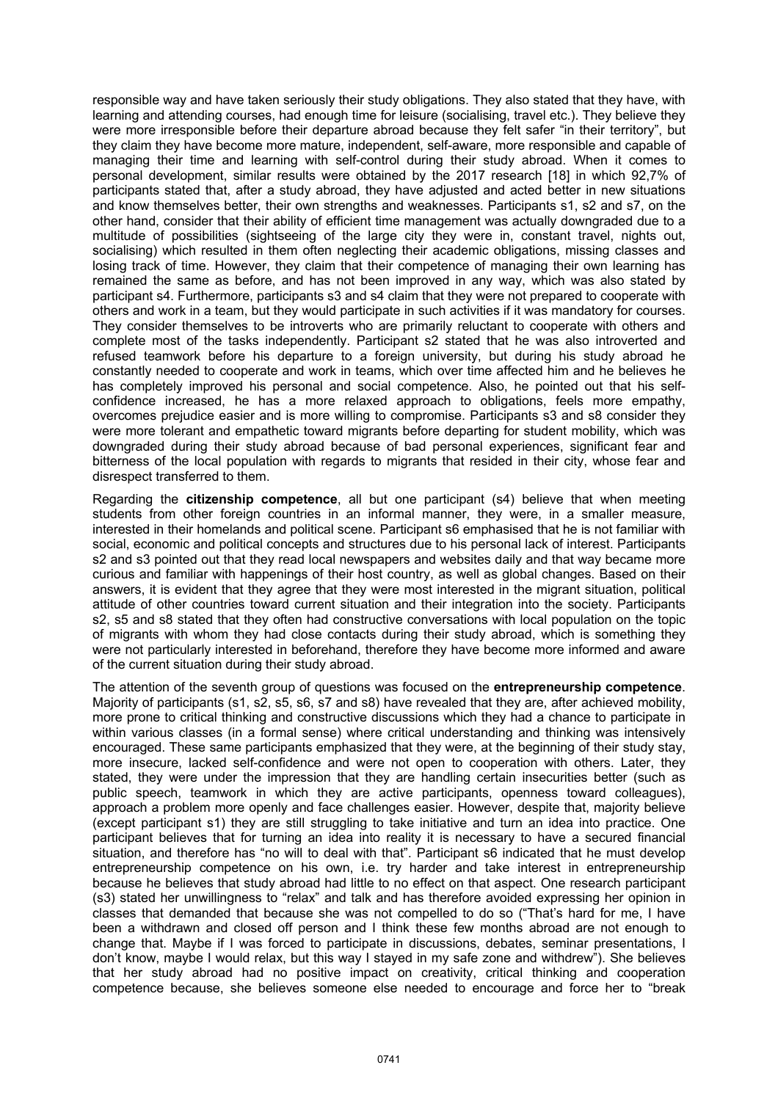responsible way and have taken seriously their study obligations. They also stated that they have, with learning and attending courses, had enough time for leisure (socialising, travel etc.). They believe they were more irresponsible before their departure abroad because they felt safer "in their territory", but they claim they have become more mature, independent, self-aware, more responsible and capable of managing their time and learning with self-control during their study abroad. When it comes to personal development, similar results were obtained by the 2017 research [18] in which 92,7% of participants stated that, after a study abroad, they have adjusted and acted better in new situations and know themselves better, their own strengths and weaknesses. Participants s1, s2 and s7, on the other hand, consider that their ability of efficient time management was actually downgraded due to a multitude of possibilities (sightseeing of the large city they were in, constant travel, nights out, socialising) which resulted in them often neglecting their academic obligations, missing classes and losing track of time. However, they claim that their competence of managing their own learning has remained the same as before, and has not been improved in any way, which was also stated by participant s4. Furthermore, participants s3 and s4 claim that they were not prepared to cooperate with others and work in a team, but they would participate in such activities if it was mandatory for courses. They consider themselves to be introverts who are primarily reluctant to cooperate with others and complete most of the tasks independently. Participant s2 stated that he was also introverted and refused teamwork before his departure to a foreign university, but during his study abroad he constantly needed to cooperate and work in teams, which over time affected him and he believes he has completely improved his personal and social competence. Also, he pointed out that his selfconfidence increased, he has a more relaxed approach to obligations, feels more empathy, overcomes prejudice easier and is more willing to compromise. Participants s3 and s8 consider they were more tolerant and empathetic toward migrants before departing for student mobility, which was downgraded during their study abroad because of bad personal experiences, significant fear and bitterness of the local population with regards to migrants that resided in their city, whose fear and disrespect transferred to them.

Regarding the **citizenship competence**, all but one participant (s4) believe that when meeting students from other foreign countries in an informal manner, they were, in a smaller measure, interested in their homelands and political scene. Participant s6 emphasised that he is not familiar with social, economic and political concepts and structures due to his personal lack of interest. Participants s2 and s3 pointed out that they read local newspapers and websites daily and that way became more curious and familiar with happenings of their host country, as well as global changes. Based on their answers, it is evident that they agree that they were most interested in the migrant situation, political attitude of other countries toward current situation and their integration into the society. Participants s2, s5 and s8 stated that they often had constructive conversations with local population on the topic of migrants with whom they had close contacts during their study abroad, which is something they were not particularly interested in beforehand, therefore they have become more informed and aware of the current situation during their study abroad.

The attention of the seventh group of questions was focused on the **entrepreneurship competence**. Majority of participants (s1, s2, s5, s6, s7 and s8) have revealed that they are, after achieved mobility, more prone to critical thinking and constructive discussions which they had a chance to participate in within various classes (in a formal sense) where critical understanding and thinking was intensively encouraged. These same participants emphasized that they were, at the beginning of their study stay, more insecure, lacked self-confidence and were not open to cooperation with others. Later, they stated, they were under the impression that they are handling certain insecurities better (such as public speech, teamwork in which they are active participants, openness toward colleagues), approach a problem more openly and face challenges easier. However, despite that, majority believe (except participant s1) they are still struggling to take initiative and turn an idea into practice. One participant believes that for turning an idea into reality it is necessary to have a secured financial situation, and therefore has "no will to deal with that". Participant s6 indicated that he must develop entrepreneurship competence on his own, i.e. try harder and take interest in entrepreneurship because he believes that study abroad had little to no effect on that aspect. One research participant (s3) stated her unwillingness to "relax" and talk and has therefore avoided expressing her opinion in classes that demanded that because she was not compelled to do so ("That's hard for me, I have been a withdrawn and closed off person and I think these few months abroad are not enough to change that. Maybe if I was forced to participate in discussions, debates, seminar presentations, I don't know, maybe I would relax, but this way I stayed in my safe zone and withdrew"). She believes that her study abroad had no positive impact on creativity, critical thinking and cooperation competence because, she believes someone else needed to encourage and force her to "break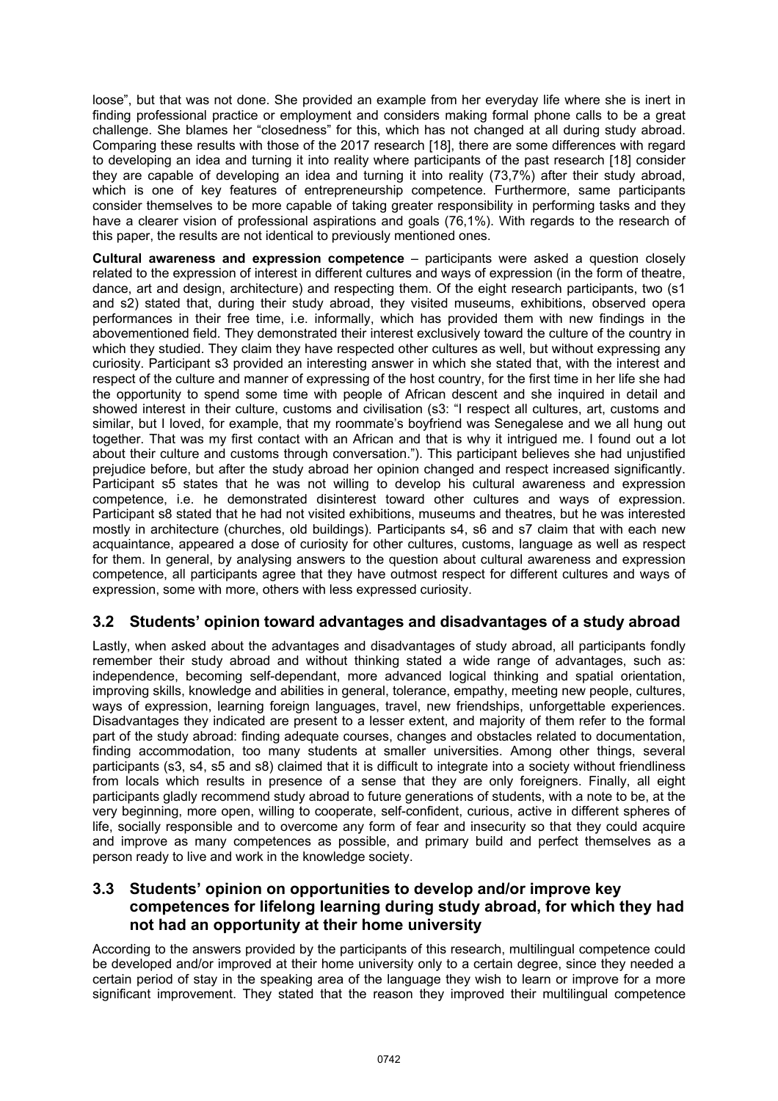loose", but that was not done. She provided an example from her everyday life where she is inert in finding professional practice or employment and considers making formal phone calls to be a great challenge. She blames her "closedness" for this, which has not changed at all during study abroad. Comparing these results with those of the 2017 research [18], there are some differences with regard to developing an idea and turning it into reality where participants of the past research [18] consider they are capable of developing an idea and turning it into reality (73,7%) after their study abroad, which is one of key features of entrepreneurship competence. Furthermore, same participants consider themselves to be more capable of taking greater responsibility in performing tasks and they have a clearer vision of professional aspirations and goals (76,1%). With regards to the research of this paper, the results are not identical to previously mentioned ones.

**Cultural awareness and expression competence** – participants were asked a question closely related to the expression of interest in different cultures and ways of expression (in the form of theatre, dance, art and design, architecture) and respecting them. Of the eight research participants, two (s1 and s2) stated that, during their study abroad, they visited museums, exhibitions, observed opera performances in their free time, i.e. informally, which has provided them with new findings in the abovementioned field. They demonstrated their interest exclusively toward the culture of the country in which they studied. They claim they have respected other cultures as well, but without expressing any curiosity. Participant s3 provided an interesting answer in which she stated that, with the interest and respect of the culture and manner of expressing of the host country, for the first time in her life she had the opportunity to spend some time with people of African descent and she inquired in detail and showed interest in their culture, customs and civilisation (s3: "I respect all cultures, art, customs and similar, but I loved, for example, that my roommate's boyfriend was Senegalese and we all hung out together. That was my first contact with an African and that is why it intrigued me. I found out a lot about their culture and customs through conversation."). This participant believes she had unjustified prejudice before, but after the study abroad her opinion changed and respect increased significantly. Participant s5 states that he was not willing to develop his cultural awareness and expression competence, i.e. he demonstrated disinterest toward other cultures and ways of expression. Participant s8 stated that he had not visited exhibitions, museums and theatres, but he was interested mostly in architecture (churches, old buildings). Participants s4, s6 and s7 claim that with each new acquaintance, appeared a dose of curiosity for other cultures, customs, language as well as respect for them. In general, by analysing answers to the question about cultural awareness and expression competence, all participants agree that they have outmost respect for different cultures and ways of expression, some with more, others with less expressed curiosity.

## **3.2 Students' opinion toward advantages and disadvantages of a study abroad**

Lastly, when asked about the advantages and disadvantages of study abroad, all participants fondly remember their study abroad and without thinking stated a wide range of advantages, such as: independence, becoming self-dependant, more advanced logical thinking and spatial orientation, improving skills, knowledge and abilities in general, tolerance, empathy, meeting new people, cultures, ways of expression, learning foreign languages, travel, new friendships, unforgettable experiences. Disadvantages they indicated are present to a lesser extent, and majority of them refer to the formal part of the study abroad: finding adequate courses, changes and obstacles related to documentation, finding accommodation, too many students at smaller universities. Among other things, several participants (s3, s4, s5 and s8) claimed that it is difficult to integrate into a society without friendliness from locals which results in presence of a sense that they are only foreigners. Finally, all eight participants gladly recommend study abroad to future generations of students, with a note to be, at the very beginning, more open, willing to cooperate, self-confident, curious, active in different spheres of life, socially responsible and to overcome any form of fear and insecurity so that they could acquire and improve as many competences as possible, and primary build and perfect themselves as a person ready to live and work in the knowledge society.

#### **3.3 Students' opinion on opportunities to develop and/or improve key competences for lifelong learning during study abroad, for which they had not had an opportunity at their home university**

According to the answers provided by the participants of this research, multilingual competence could be developed and/or improved at their home university only to a certain degree, since they needed a certain period of stay in the speaking area of the language they wish to learn or improve for a more significant improvement. They stated that the reason they improved their multilingual competence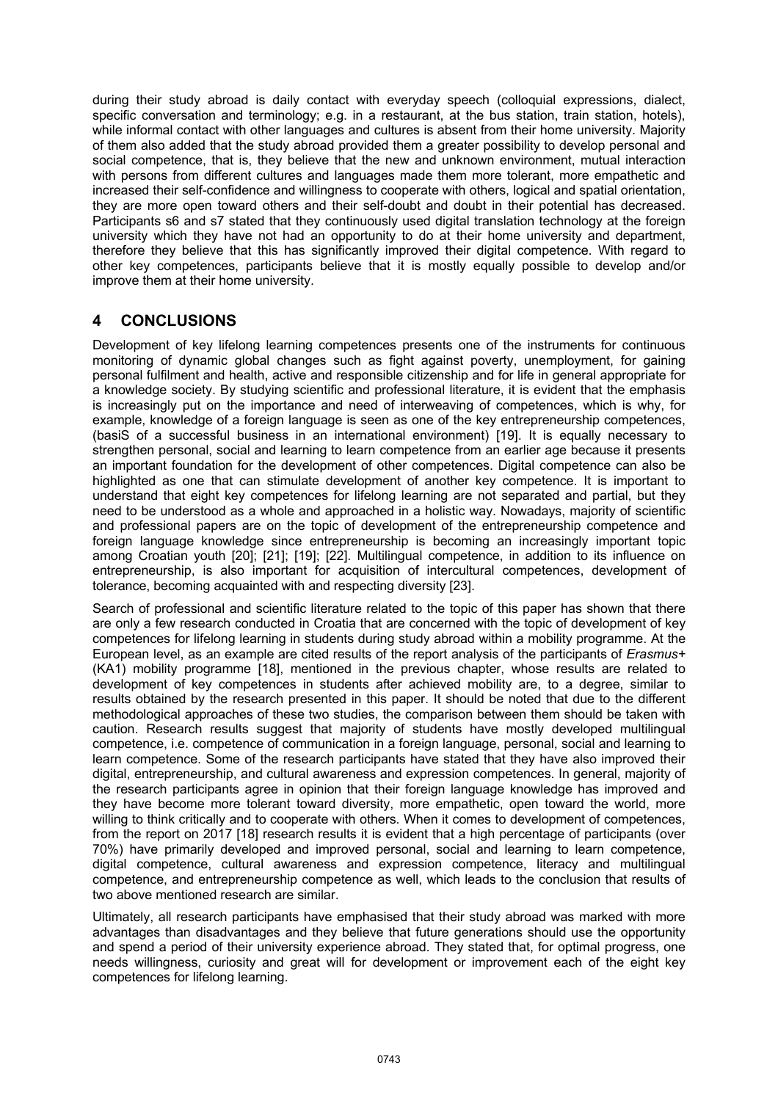during their study abroad is daily contact with everyday speech (colloquial expressions, dialect, specific conversation and terminology; e.g. in a restaurant, at the bus station, train station, hotels), while informal contact with other languages and cultures is absent from their home university. Majority of them also added that the study abroad provided them a greater possibility to develop personal and social competence, that is, they believe that the new and unknown environment, mutual interaction with persons from different cultures and languages made them more tolerant, more empathetic and increased their self-confidence and willingness to cooperate with others, logical and spatial orientation, they are more open toward others and their self-doubt and doubt in their potential has decreased. Participants s6 and s7 stated that they continuously used digital translation technology at the foreign university which they have not had an opportunity to do at their home university and department, therefore they believe that this has significantly improved their digital competence. With regard to other key competences, participants believe that it is mostly equally possible to develop and/or improve them at their home university.

## **4 CONCLUSIONS**

Development of key lifelong learning competences presents one of the instruments for continuous monitoring of dynamic global changes such as fight against poverty, unemployment, for gaining personal fulfilment and health, active and responsible citizenship and for life in general appropriate for a knowledge society. By studying scientific and professional literature, it is evident that the emphasis is increasingly put on the importance and need of interweaving of competences, which is why, for example, knowledge of a foreign language is seen as one of the key entrepreneurship competences, (basiS of a successful business in an international environment) [19]. It is equally necessary to strengthen personal, social and learning to learn competence from an earlier age because it presents an important foundation for the development of other competences. Digital competence can also be highlighted as one that can stimulate development of another key competence. It is important to understand that eight key competences for lifelong learning are not separated and partial, but they need to be understood as a whole and approached in a holistic way. Nowadays, majority of scientific and professional papers are on the topic of development of the entrepreneurship competence and foreign language knowledge since entrepreneurship is becoming an increasingly important topic among Croatian youth [20]; [21]; [19]; [22]. Multilingual competence, in addition to its influence on entrepreneurship, is also important for acquisition of intercultural competences, development of tolerance, becoming acquainted with and respecting diversity [23].

Search of professional and scientific literature related to the topic of this paper has shown that there are only a few research conducted in Croatia that are concerned with the topic of development of key competences for lifelong learning in students during study abroad within a mobility programme. At the European level, as an example are cited results of the report analysis of the participants of *Erasmus+* (KA1) mobility programme [18], mentioned in the previous chapter, whose results are related to development of key competences in students after achieved mobility are, to a degree, similar to results obtained by the research presented in this paper. It should be noted that due to the different methodological approaches of these two studies, the comparison between them should be taken with caution. Research results suggest that majority of students have mostly developed multilingual competence, i.e. competence of communication in a foreign language, personal, social and learning to learn competence. Some of the research participants have stated that they have also improved their digital, entrepreneurship, and cultural awareness and expression competences. In general, majority of the research participants agree in opinion that their foreign language knowledge has improved and they have become more tolerant toward diversity, more empathetic, open toward the world, more willing to think critically and to cooperate with others. When it comes to development of competences, from the report on 2017 [18] research results it is evident that a high percentage of participants (over 70%) have primarily developed and improved personal, social and learning to learn competence, digital competence, cultural awareness and expression competence, literacy and multilingual competence, and entrepreneurship competence as well, which leads to the conclusion that results of two above mentioned research are similar.

Ultimately, all research participants have emphasised that their study abroad was marked with more advantages than disadvantages and they believe that future generations should use the opportunity and spend a period of their university experience abroad. They stated that, for optimal progress, one needs willingness, curiosity and great will for development or improvement each of the eight key competences for lifelong learning.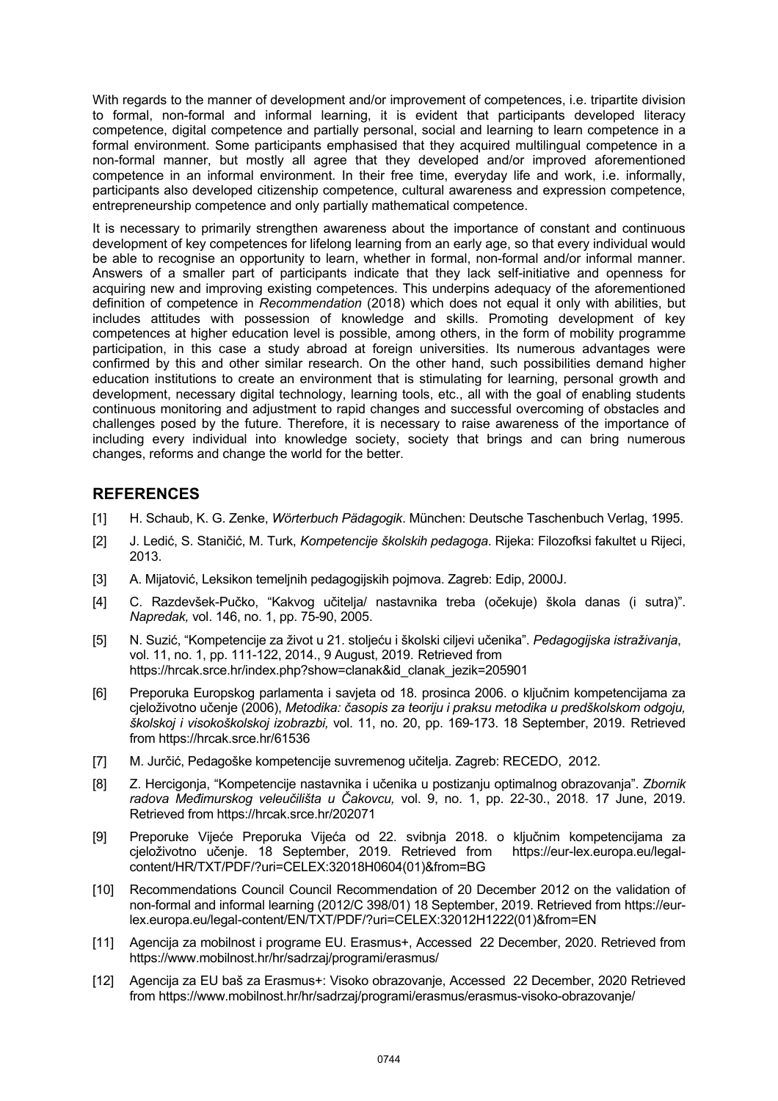With regards to the manner of development and/or improvement of competences, i.e. tripartite division to formal, non-formal and informal learning, it is evident that participants developed literacy competence, digital competence and partially personal, social and learning to learn competence in a formal environment. Some participants emphasised that they acquired multilingual competence in a non-formal manner, but mostly all agree that they developed and/or improved aforementioned competence in an informal environment. In their free time, everyday life and work, i.e. informally, participants also developed citizenship competence, cultural awareness and expression competence, entrepreneurship competence and only partially mathematical competence.

It is necessary to primarily strengthen awareness about the importance of constant and continuous development of key competences for lifelong learning from an early age, so that every individual would be able to recognise an opportunity to learn, whether in formal, non-formal and/or informal manner. Answers of a smaller part of participants indicate that they lack self-initiative and openness for acquiring new and improving existing competences. This underpins adequacy of the aforementioned definition of competence in *Recommendation* (2018) which does not equal it only with abilities, but includes attitudes with possession of knowledge and skills. Promoting development of key competences at higher education level is possible, among others, in the form of mobility programme participation, in this case a study abroad at foreign universities. Its numerous advantages were confirmed by this and other similar research. On the other hand, such possibilities demand higher education institutions to create an environment that is stimulating for learning, personal growth and development, necessary digital technology, learning tools, etc., all with the goal of enabling students continuous monitoring and adjustment to rapid changes and successful overcoming of obstacles and challenges posed by the future. Therefore, it is necessary to raise awareness of the importance of including every individual into knowledge society, society that brings and can bring numerous changes, reforms and change the world for the better.

## **REFERENCES**

- [1] H. Schaub, K. G. Zenke, *Wörterbuch Pädagogik*. München: Deutsche Taschenbuch Verlag, 1995.
- [2] J. Ledić, S. Staničić, M. Turk, *Kompetencije školskih pedagoga*. Rijeka: Filozofksi fakultet u Rijeci, 2013.
- [3] A. Mijatović, Leksikon temeljnih pedagogijskih pojmova. Zagreb: Edip, 2000J.
- [4] C. Razdevšek-Pučko, "Kakvog učitelja/ nastavnika treba (očekuje) škola danas (i sutra)". *Napredak,* vol. 146, no. 1, pp. 75-90, 2005.
- [5] N. Suzić, "Kompetencije za život u 21. stoljeću i školski ciljevi učenika". *Pedagogijska istraživanja*, vol. 11, no. 1, pp. 111-122, 2014., 9 August, 2019. Retrieved from https://hrcak.srce.hr/index.php?show=clanak&id\_clanak\_jezik=205901
- [6] Preporuka Europskog parlamenta i savjeta od 18. prosinca 2006. o ključnim kompetencijama za cjeloživotno učenje (2006), *Metodika: časopis za teoriju i praksu metodika u predškolskom odgoju, školskoj i visokoškolskoj izobrazbi,* vol. 11, no. 20, pp. 169-173. 18 September, 2019. Retrieved from https://hrcak.srce.hr/61536
- [7] M. Jurčić, Pedagoške kompetencije suvremenog učitelja. Zagreb: RECEDO, 2012.
- [8] Z. Hercigonja, "Kompetencije nastavnika i učenika u postizanju optimalnog obrazovanja". *Zbornik radova Međimurskog veleučilišta u Čakovcu,* vol. 9, no. 1, pp. 22-30., 2018. 17 June, 2019. Retrieved from https://hrcak.srce.hr/202071
- [9] Preporuke Vijeće Preporuka Vijeća od 22. svibnja 2018. o ključnim kompetencijama za cjeloživotno učenje. 18 September, 2019. Retrieved from https://eur-lex.europa.eu/legalcontent/HR/TXT/PDF/?uri=CELEX:32018H0604(01)&from=BG
- [10] Recommendations Council Council Recommendation of 20 December 2012 on the validation of non-formal and informal learning (2012/C 398/01) 18 September, 2019. Retrieved from https://eurlex.europa.eu/legal-content/EN/TXT/PDF/?uri=CELEX:32012H1222(01)&from=EN
- [11] Agencija za mobilnost i programe EU. Erasmus+, Accessed 22 December, 2020. Retrieved from https://www.mobilnost.hr/hr/sadrzaj/programi/erasmus/
- [12] Agencija za EU baš za Erasmus+: Visoko obrazovanje, Accessed 22 December, 2020 Retrieved from https://www.mobilnost.hr/hr/sadrzaj/programi/erasmus/erasmus-visoko-obrazovanje/